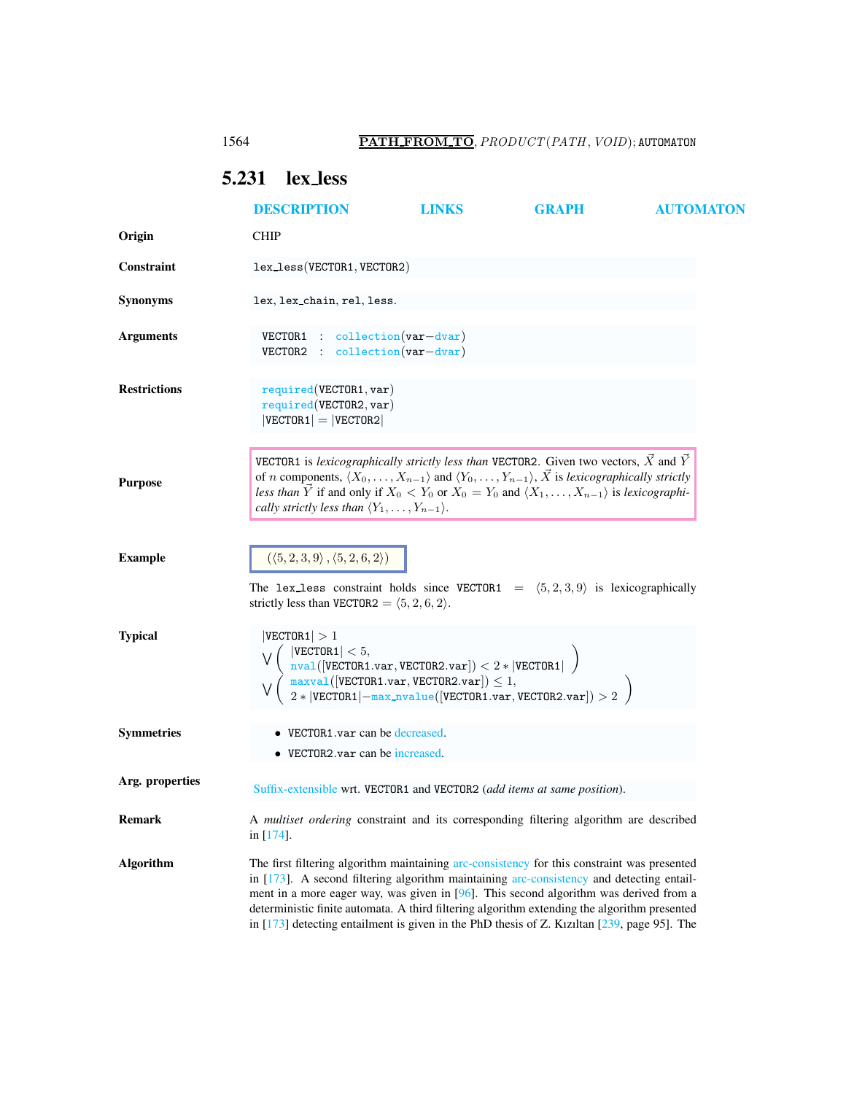## <span id="page-0-0"></span>5.231 lex less

|                     | <b>DESCRIPTION</b>                                                                                                                                                                                                                                                                                                                                                                                                                                                                     | <b>LINKS</b> | <b>GRAPH</b> | <b>AUTOMATON</b> |
|---------------------|----------------------------------------------------------------------------------------------------------------------------------------------------------------------------------------------------------------------------------------------------------------------------------------------------------------------------------------------------------------------------------------------------------------------------------------------------------------------------------------|--------------|--------------|------------------|
| Origin              | <b>CHIP</b>                                                                                                                                                                                                                                                                                                                                                                                                                                                                            |              |              |                  |
| <b>Constraint</b>   | lex_less(VECTOR1, VECTOR2)                                                                                                                                                                                                                                                                                                                                                                                                                                                             |              |              |                  |
| <b>Synonyms</b>     | lex, lex_chain, rel, less.                                                                                                                                                                                                                                                                                                                                                                                                                                                             |              |              |                  |
| <b>Arguments</b>    | $VECTOR1$ : collection(var-dvar)<br>$VECTOR2 : collection(var-dvar)$                                                                                                                                                                                                                                                                                                                                                                                                                   |              |              |                  |
| <b>Restrictions</b> | required(VECTOR1, var)<br>required(VECTOR2, var)<br>$ VECTOR1  =  VECTOR2 $                                                                                                                                                                                                                                                                                                                                                                                                            |              |              |                  |
| <b>Purpose</b>      | VECTOR1 is lexicographically strictly less than VECTOR2. Given two vectors, $\vec{X}$ and $\vec{Y}$<br>of <i>n</i> components, $\langle X_0, \ldots, X_{n-1} \rangle$ and $\langle Y_0, \ldots, Y_{n-1} \rangle$ , $\overrightarrow{X}$ is lexicographically strictly<br>less than $\vec{Y}$ if and only if $X_0 < Y_0$ or $X_0 = Y_0$ and $\langle X_1, \ldots, X_{n-1} \rangle$ is lexicographi-<br>cally strictly less than $\langle Y_1,\ldots,Y_{n-1}\rangle$ .                   |              |              |                  |
| <b>Example</b>      | $(\langle 5,2,3,9 \rangle, \langle 5,2,6,2 \rangle)$<br>The lex-less constraint holds since VECTOR1 = $(5,2,3,9)$ is lexicographically<br>strictly less than VECTOR2 = $(5, 2, 6, 2)$ .                                                                                                                                                                                                                                                                                                |              |              |                  |
| <b>Typical</b>      | VECTOR1  > 1<br>$ \texttt{VECTOR1}  < 5,$<br>$\left\{\begin{array}{l}  \texttt{VECTOR1}  < 5, \ \frac{\texttt{nval}( \texttt{VECTOR1}.\texttt{var},\texttt{VECTOR2}.\texttt{var} ) < 2* \texttt{VECTOR1}  \end{array}\right\} \ \left\{\begin{array}{l} \frac{\texttt{nval}( \texttt{VECTOR1}.\texttt{var},\texttt{VECTOR2}.\texttt{var} ) \leq 1, \ 2* \texttt{VECTOR1} -\texttt{max\_nvalue}( \texttt{VECTOR1}.\texttt{var},\texttt{VECTOR2}.\texttt{var} ) > 2 \end{array}\right\}$ |              |              |                  |
| <b>Symmetries</b>   | • VECTOR1.var can be decreased.<br>• VECTOR2.var can be increased.                                                                                                                                                                                                                                                                                                                                                                                                                     |              |              |                  |
| Arg. properties     | Suffix-extensible wrt. VECTOR1 and VECTOR2 (add items at same position).                                                                                                                                                                                                                                                                                                                                                                                                               |              |              |                  |
| Remark              | A multiset ordering constraint and its corresponding filtering algorithm are described<br>in $[174]$ .                                                                                                                                                                                                                                                                                                                                                                                 |              |              |                  |
| <b>Algorithm</b>    | The first filtering algorithm maintaining arc-consistency for this constraint was presented<br>in [173]. A second filtering algorithm maintaining arc-consistency and detecting entail-<br>ment in a more eager way, was given in $[96]$ . This second algorithm was derived from a<br>deterministic finite automata. A third filtering algorithm extending the algorithm presented<br>in $[173]$ detecting entailment is given in the PhD thesis of Z. Kiziltan $[239,$ page 95]. The |              |              |                  |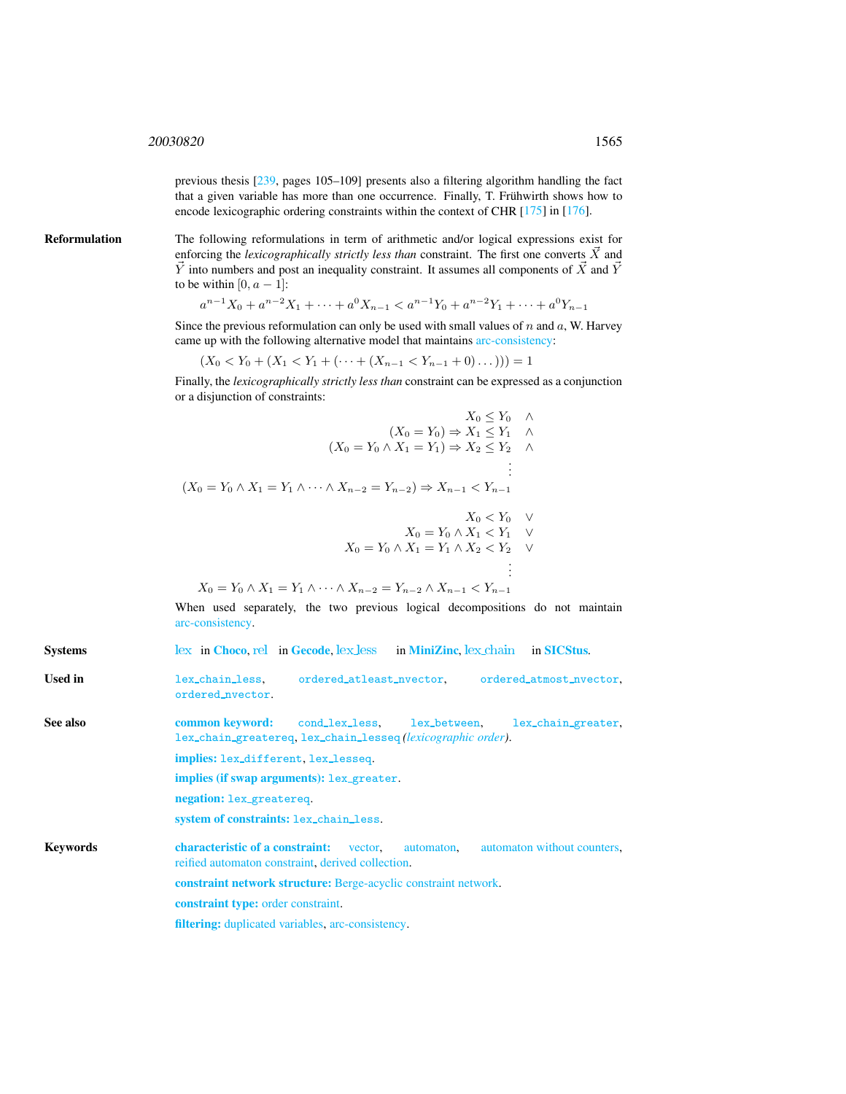previous thesis [239, pages 105–109] presents also a filtering algorithm handling the fact that a given variable has more than one occurrence. Finally, T. Frühwirth shows how to encode lexicographic ordering constraints within the context of CHR [175] in [176].

Reformulation The following reformulations in term of arithmetic and/or logical expressions exist for enforcing the *lexicographically strictly less than* constraint. The first one converts  $\overrightarrow{X}$  and  $\vec{Y}$  into numbers and post an inequality constraint. It assumes all components of  $\vec{X}$  and  $\vec{Y}$ to be within  $[0, a - 1]$ :

$$
a^{n-1}X_0 + a^{n-2}X_1 + \dots + a^0X_{n-1} < a^{n-1}Y_0 + a^{n-2}Y_1 + \dots + a^0Y_{n-1}
$$

Since the previous reformulation can only be used with small values of  $n$  and  $a$ , W. Harvey came up with the following alternative model that maintains arc-consistency:

$$
(X_0 < Y_0 + (X_1 < Y_1 + (\dots + (X_{n-1} < Y_{n-1} + 0) \dots))) = 1
$$

Finally, the *lexicographically strictly less than* constraint can be expressed as a conjunction or a disjunction of constraints:

$$
\begin{aligned}\nX_0 \le Y_0 &\wedge \\
(X_0 = Y_0) \Rightarrow X_1 \le Y_1 &\wedge \\
(X_0 = Y_0 \land X_1 = Y_1) \Rightarrow X_2 \le Y_2 &\wedge \\
\vdots &\vdots \\
(X_0 = Y_0 \land X_1 = Y_1 \land \dots \land X_{n-2} = Y_{n-2}) \Rightarrow X_{n-1} < Y_{n-1}\n\end{aligned}
$$

$$
X_0 < Y_0 \quad \vee
$$
  
\n
$$
X_0 = Y_0 \land X_1 < Y_1 \quad \vee
$$
  
\n
$$
X_0 = Y_0 \land X_1 = Y_1 \land X_2 < Y_2 \quad \vee
$$
  
\n
$$
\vdots
$$

$$
X_0 = Y_0 \wedge X_1 = Y_1 \wedge \dots \wedge X_{n-2} = Y_{n-2} \wedge X_{n-1} < Y_{n-1}
$$

When used separately, the two previous logical decompositions do not maintain arc-consistency.

<span id="page-1-0"></span>Systems [lex](http://www.emn.fr/z-info/choco-solver/tex/documentation/choco-doc.pdf) in [Choco](http://choco.emn.fr/), [rel](http://www.gecode.org/doc/3.7.0/reference/group__TaskModelIntRelInt.html) in [Gecode](http://www.gecode.org/), lex [less](http://www.g12.cs.mu.oz.au/minizinc/downloads/doc-1.4/mzn-globals.html#lex_less) in [MiniZinc](http://www.g12.cs.mu.oz.au/minizinc/), lex chain in [SICStus](http://www.sics.se/sicstus/). Used in lex\_chain\_less, ordered\_atleast\_nvector, ordered\_atmost\_nvector, ordered nvector. See also common keyword: cond lex less, lex between, lex chain greater, lex chain greatereq, lex chain lesseq *(lexicographic order)*. implies: lex different, lex lesseq. implies (if swap arguments): lex\_greater. negation: lex greatereq. system of constraints: lex chain less. Keywords characteristic of a constraint: vector, automaton, automaton without counters, reified automaton constraint, derived collection. constraint network structure: Berge-acyclic constraint network. constraint type: order constraint. filtering: duplicated variables, arc-consistency.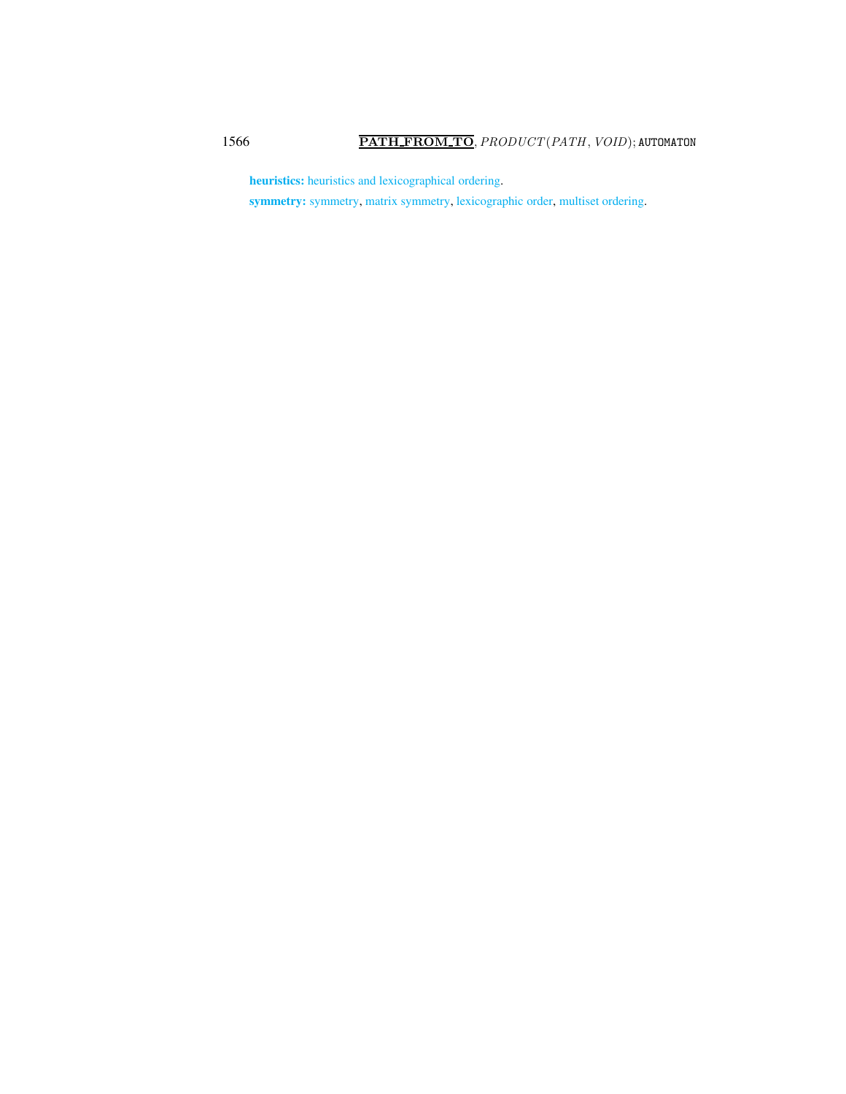heuristics: heuristics and lexicographical ordering.

symmetry: symmetry, matrix symmetry, lexicographic order, multiset ordering.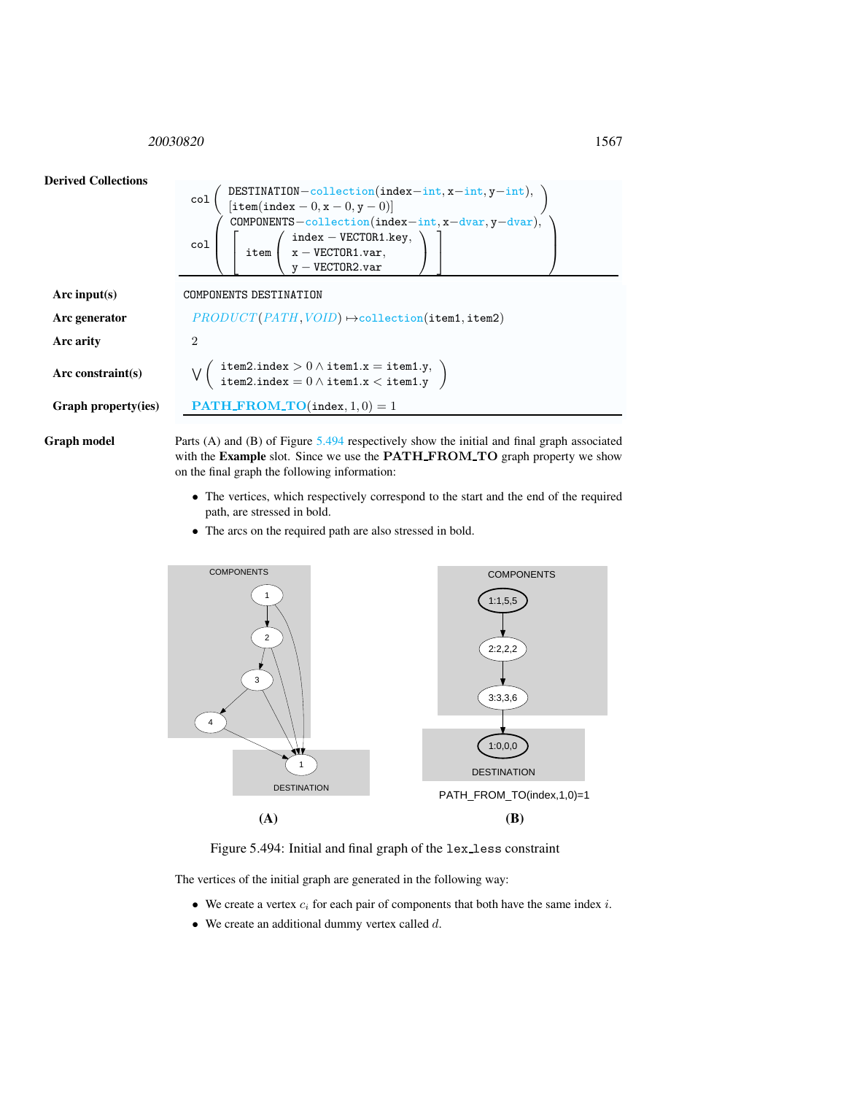<span id="page-3-0"></span><sup>20030820</sup> 1567



Graph model Parts (A) and (B) of Figure [5.494](#page-3-1) respectively show the initial and final graph associated with the Example slot. Since we use the PATH\_FROM\_TO graph property we show on the final graph the following information:

- The vertices, which respectively correspond to the start and the end of the required path, are stressed in bold.
- The arcs on the required path are also stressed in bold.



<span id="page-3-1"></span>Figure 5.494: Initial and final graph of the lex less constraint

The vertices of the initial graph are generated in the following way:

- We create a vertex  $c_i$  for each pair of components that both have the same index  $i$ .
- $\bullet$  We create an additional dummy vertex called  $d$ .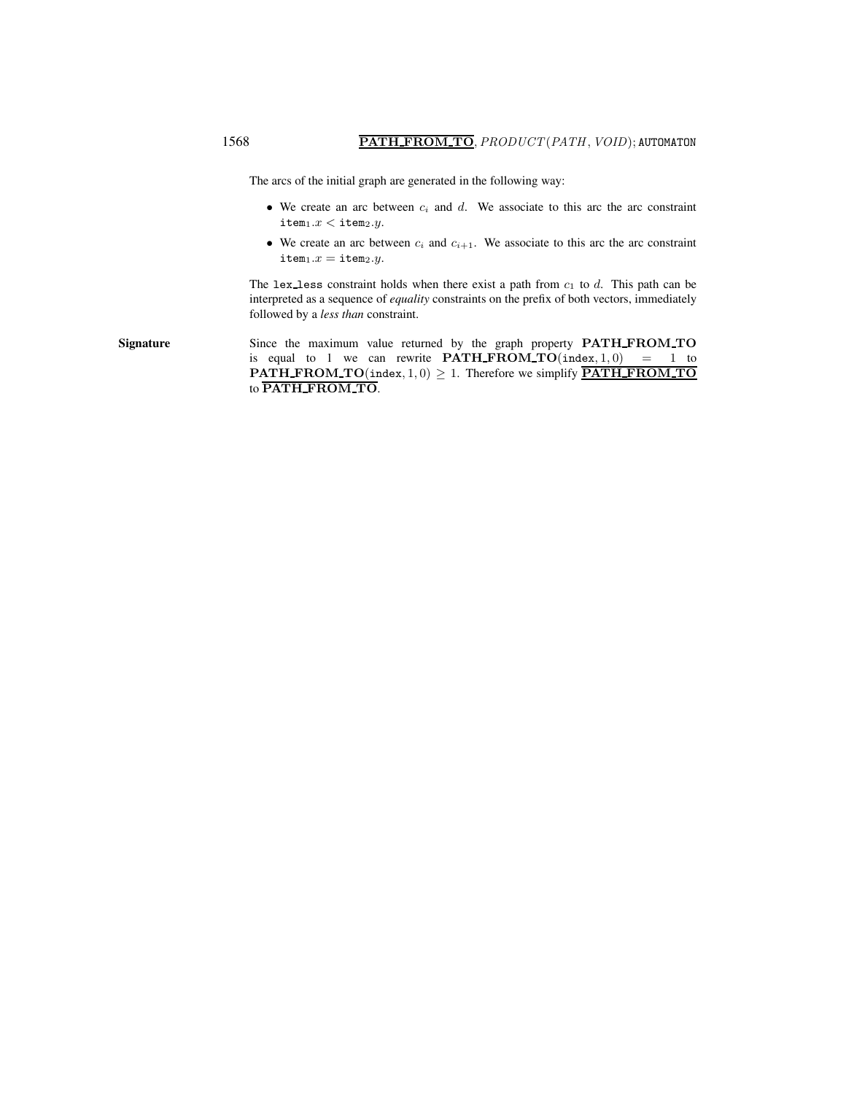The arcs of the initial graph are generated in the following way:

- We create an arc between  $c_i$  and d. We associate to this arc the arc constraint item $1.x <$ item $2.y$ .
- We create an arc between  $c_i$  and  $c_{i+1}$ . We associate to this arc the arc constraint  $item_1.x = item_2.y.$

The lex less constraint holds when there exist a path from  $c_1$  to d. This path can be interpreted as a sequence of *equality* constraints on the prefix of both vectors, immediately followed by a *less than* constraint.

Signature Since the maximum value returned by the graph property PATH\_FROM\_TO is equal to 1 we can rewrite  $\textbf{PATH\_FROM\_TO}(\texttt{index}, 1, 0) = 1$  to **PATH\_FROM\_TO**(index,  $1, 0$ )  $\geq 1$ . Therefore we simplify **PATH\_FROM\_TO** to PATH\_FROM\_TO.